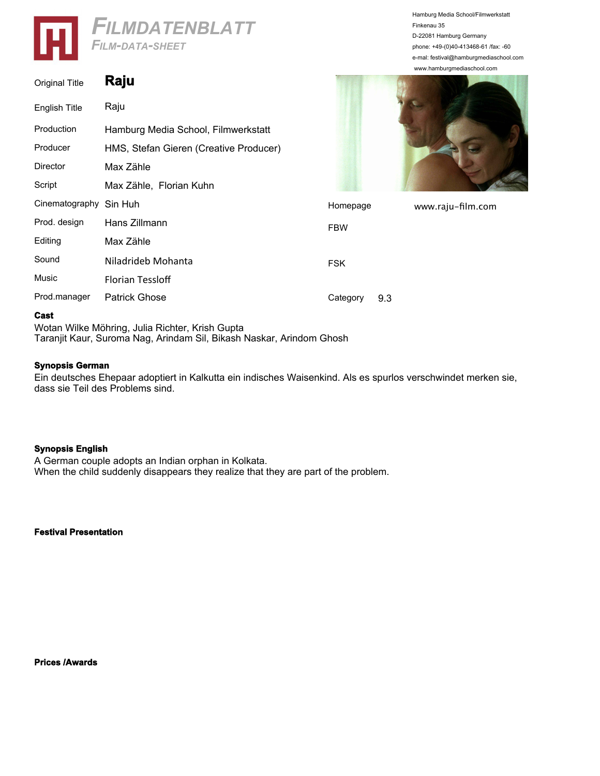

| <b>Original Title</b> | Raju                                   |            |
|-----------------------|----------------------------------------|------------|
| English Title         | Raju                                   |            |
| Production            | Hamburg Media School, Filmwerkstatt    |            |
| Producer              | HMS, Stefan Gieren (Creative Producer) |            |
| Director              | Max Zähle                              |            |
| Script                | Max Zähle, Florian Kuhn                |            |
| Cinematography        | Sin Huh                                | Home       |
| Prod. design          | Hans Zillmann                          | <b>FBW</b> |
| Editing               | Max Zähle                              |            |
| Sound                 | Niladrideb Mohanta                     | <b>FSK</b> |
| Music                 | <b>Florian Tessloff</b>                |            |
| Prod.manager          | <b>Patrick Ghose</b>                   | Categ      |





www.raju-film.com

| Script                 | Max Zähle, Florian Kuhn |            |     |
|------------------------|-------------------------|------------|-----|
| Cinematography Sin Huh |                         | Homepage   |     |
| Prod. design           | Hans Zillmann           | <b>FBW</b> |     |
| Editing                | Max Zähle               |            |     |
| Sound                  | Niladrideb Mohanta      | <b>FSK</b> |     |
| <b>Music</b>           | <b>Florian Tessloff</b> |            |     |
| Prod.manager           | <b>Patrick Ghose</b>    | Category   | 9.3 |

## **Cast**

Wotan Wilke Möhring, Julia Richter, Krish Gupta Taranjit Kaur, Suroma Nag, Arindam Sil, Bikash Naskar, Arindom Ghosh

## **Synopsis German**

Ein deutsches Ehepaar adoptiert in Kalkutta ein indisches Waisenkind. Als es spurlos verschwindet merken sie, dass sie Teil des Problems sind.

## **Synopsis English**

A German couple adopts an Indian orphan in Kolkata. When the child suddenly disappears they realize that they are part of the problem.

**Festival Presentation**

**Prices /Awards**